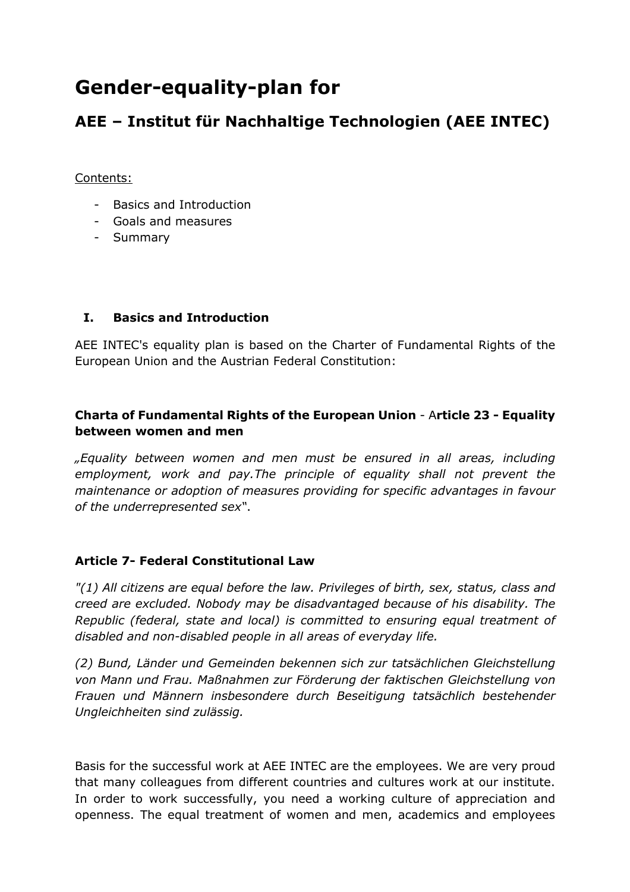# **Gender-equality-plan for**

## **AEE – Institut für Nachhaltige Technologien (AEE INTEC)**

#### Contents:

- Basics and Introduction
- Goals and measures
- Summary

#### **I. Basics and Introduction**

AEE INTEC's equality plan is based on the Charter of Fundamental Rights of the European Union and the Austrian Federal Constitution:

### **Charta of Fundamental Rights of the European Union** - A**rticle 23 - Equality between women and men**

*"Equality between women and men must be ensured in all areas, including employment, work and pay.The principle of equality shall not prevent the maintenance or adoption of measures providing for specific advantages in favour of the underrepresented sex"*.

#### **Article 7- Federal Constitutional Law**

*"(1) All citizens are equal before the law. Privileges of birth, sex, status, class and creed are excluded. Nobody may be disadvantaged because of his disability. The Republic (federal, state and local) is committed to ensuring equal treatment of disabled and non-disabled people in all areas of everyday life.* 

*(2) Bund, Länder und Gemeinden bekennen sich zur tatsächlichen Gleichstellung von Mann und Frau. Maßnahmen zur Förderung der faktischen Gleichstellung von Frauen und Männern insbesondere durch Beseitigung tatsächlich bestehender Ungleichheiten sind zulässig.* 

Basis for the successful work at AEE INTEC are the employees. We are very proud that many colleagues from different countries and cultures work at our institute. In order to work successfully, you need a working culture of appreciation and openness. The equal treatment of women and men, academics and employees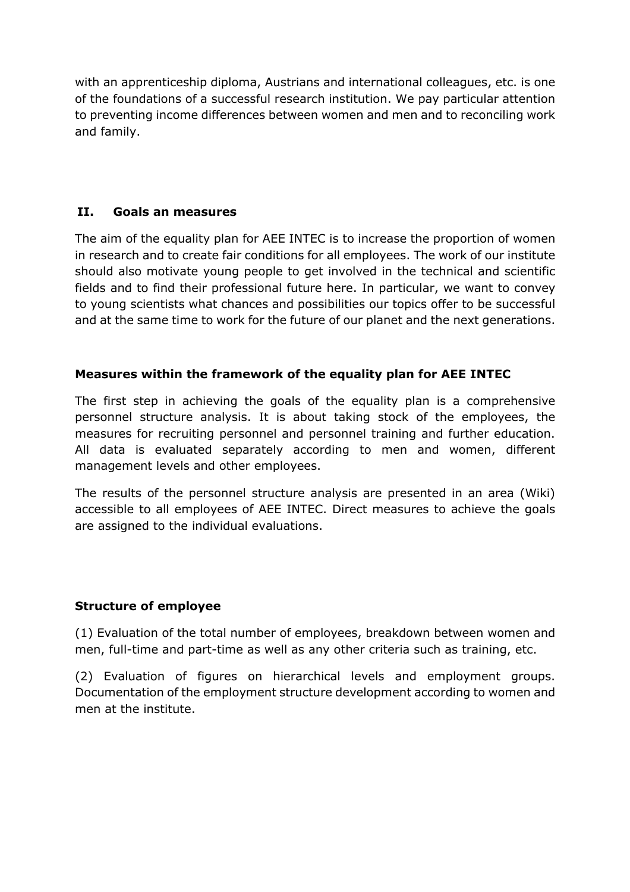with an apprenticeship diploma, Austrians and international colleagues, etc. is one of the foundations of a successful research institution. We pay particular attention to preventing income differences between women and men and to reconciling work and family.

#### **II. Goals an measures**

The aim of the equality plan for AEE INTEC is to increase the proportion of women in research and to create fair conditions for all employees. The work of our institute should also motivate young people to get involved in the technical and scientific fields and to find their professional future here. In particular, we want to convey to young scientists what chances and possibilities our topics offer to be successful and at the same time to work for the future of our planet and the next generations.

#### **Measures within the framework of the equality plan for AEE INTEC**

The first step in achieving the goals of the equality plan is a comprehensive personnel structure analysis. It is about taking stock of the employees, the measures for recruiting personnel and personnel training and further education. All data is evaluated separately according to men and women, different management levels and other employees.

The results of the personnel structure analysis are presented in an area (Wiki) accessible to all employees of AEE INTEC. Direct measures to achieve the goals are assigned to the individual evaluations.

#### **Structure of employee**

(1) Evaluation of the total number of employees, breakdown between women and men, full-time and part-time as well as any other criteria such as training, etc.

(2) Evaluation of figures on hierarchical levels and employment groups. Documentation of the employment structure development according to women and men at the institute.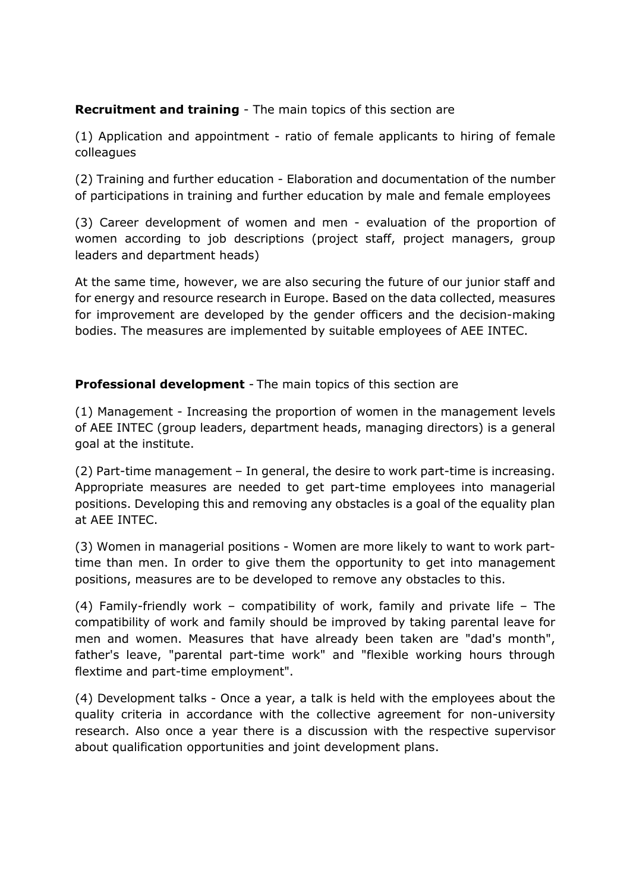#### **Recruitment and training** - The main topics of this section are

(1) Application and appointment - ratio of female applicants to hiring of female colleagues

(2) Training and further education - Elaboration and documentation of the number of participations in training and further education by male and female employees

(3) Career development of women and men - evaluation of the proportion of women according to job descriptions (project staff, project managers, group leaders and department heads)

At the same time, however, we are also securing the future of our junior staff and for energy and resource research in Europe. Based on the data collected, measures for improvement are developed by the gender officers and the decision-making bodies. The measures are implemented by suitable employees of AEE INTEC.

#### **Professional development** - The main topics of this section are

(1) Management - Increasing the proportion of women in the management levels of AEE INTEC (group leaders, department heads, managing directors) is a general goal at the institute.

(2) Part-time management – In general, the desire to work part-time is increasing. Appropriate measures are needed to get part-time employees into managerial positions. Developing this and removing any obstacles is a goal of the equality plan at AEE INTEC.

(3) Women in managerial positions - Women are more likely to want to work parttime than men. In order to give them the opportunity to get into management positions, measures are to be developed to remove any obstacles to this.

(4) Family-friendly work – compatibility of work, family and private life – The compatibility of work and family should be improved by taking parental leave for men and women. Measures that have already been taken are "dad's month", father's leave, "parental part-time work" and "flexible working hours through flextime and part-time employment".

(4) Development talks - Once a year, a talk is held with the employees about the quality criteria in accordance with the collective agreement for non-university research. Also once a year there is a discussion with the respective supervisor about qualification opportunities and joint development plans.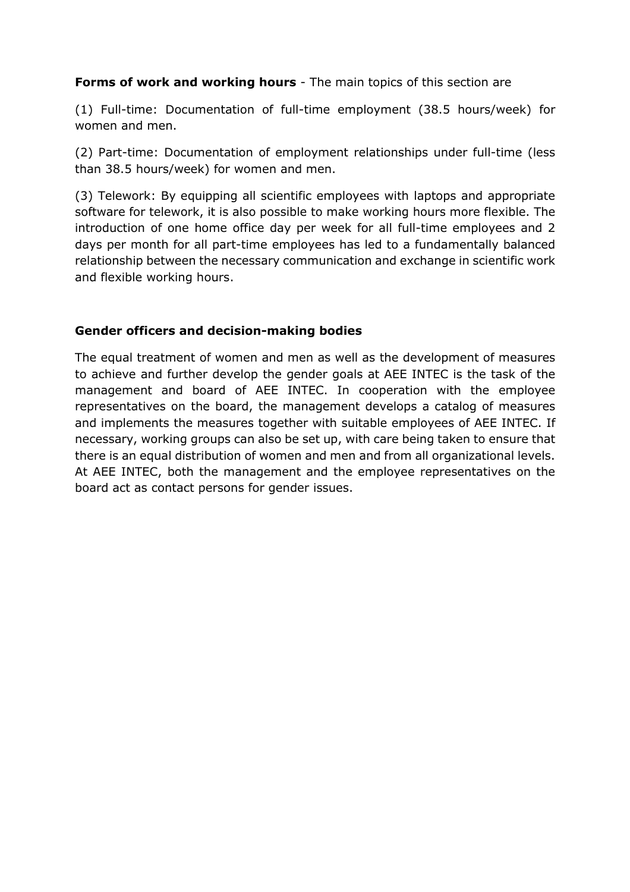#### **Forms of work and working hours** - The main topics of this section are

(1) Full-time: Documentation of full-time employment (38.5 hours/week) for women and men.

(2) Part-time: Documentation of employment relationships under full-time (less than 38.5 hours/week) for women and men.

(3) Telework: By equipping all scientific employees with laptops and appropriate software for telework, it is also possible to make working hours more flexible. The introduction of one home office day per week for all full-time employees and 2 days per month for all part-time employees has led to a fundamentally balanced relationship between the necessary communication and exchange in scientific work and flexible working hours.

#### **Gender officers and decision-making bodies**

The equal treatment of women and men as well as the development of measures to achieve and further develop the gender goals at AEE INTEC is the task of the management and board of AEE INTEC. In cooperation with the employee representatives on the board, the management develops a catalog of measures and implements the measures together with suitable employees of AEE INTEC. If necessary, working groups can also be set up, with care being taken to ensure that there is an equal distribution of women and men and from all organizational levels. At AEE INTEC, both the management and the employee representatives on the board act as contact persons for gender issues.